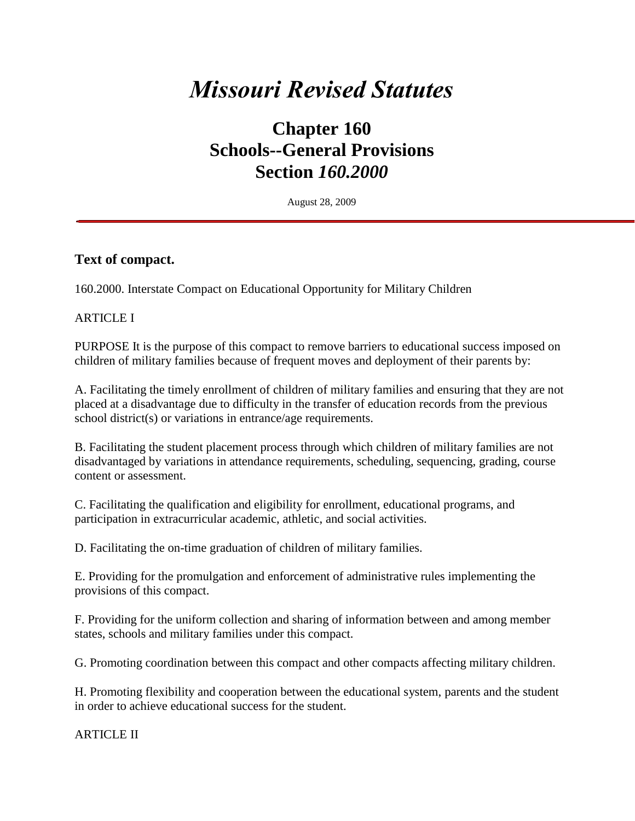# *Missouri Revised Statutes*

# **Chapter 160 Schools--General Provisions Section** *160.2000*

August 28, 2009

# **Text of compact.**

160.2000. Interstate Compact on Educational Opportunity for Military Children

# ARTICLE I

PURPOSE It is the purpose of this compact to remove barriers to educational success imposed on children of military families because of frequent moves and deployment of their parents by:

A. Facilitating the timely enrollment of children of military families and ensuring that they are not placed at a disadvantage due to difficulty in the transfer of education records from the previous school district(s) or variations in entrance/age requirements.

B. Facilitating the student placement process through which children of military families are not disadvantaged by variations in attendance requirements, scheduling, sequencing, grading, course content or assessment.

C. Facilitating the qualification and eligibility for enrollment, educational programs, and participation in extracurricular academic, athletic, and social activities.

D. Facilitating the on-time graduation of children of military families.

E. Providing for the promulgation and enforcement of administrative rules implementing the provisions of this compact.

F. Providing for the uniform collection and sharing of information between and among member states, schools and military families under this compact.

G. Promoting coordination between this compact and other compacts affecting military children.

H. Promoting flexibility and cooperation between the educational system, parents and the student in order to achieve educational success for the student.

**ARTICLE II**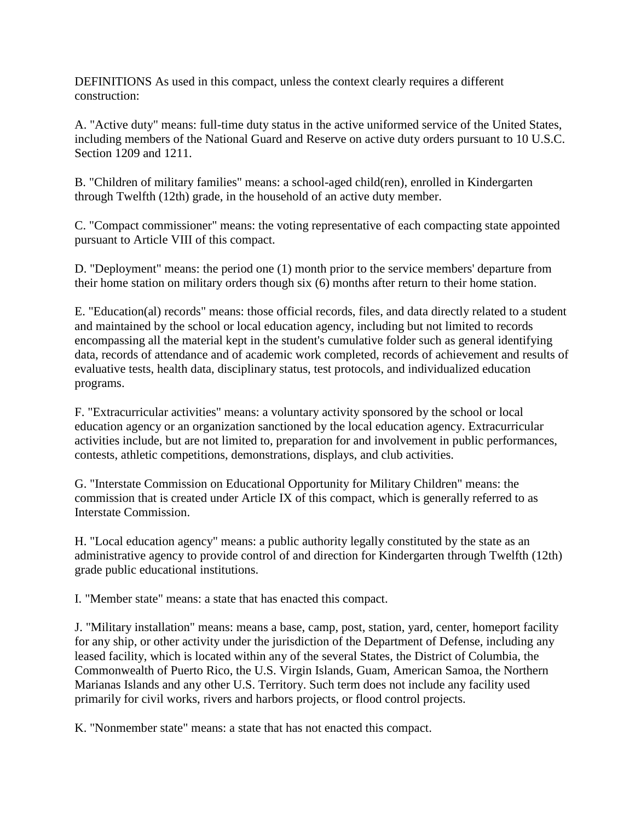DEFINITIONS As used in this compact, unless the context clearly requires a different construction:

A. "Active duty" means: full-time duty status in the active uniformed service of the United States, including members of the National Guard and Reserve on active duty orders pursuant to 10 U.S.C. Section 1209 and 1211.

B. "Children of military families" means: a school-aged child(ren), enrolled in Kindergarten through Twelfth (12th) grade, in the household of an active duty member.

C. "Compact commissioner" means: the voting representative of each compacting state appointed pursuant to Article VIII of this compact.

D. "Deployment" means: the period one (1) month prior to the service members' departure from their home station on military orders though six (6) months after return to their home station.

E. "Education(al) records" means: those official records, files, and data directly related to a student and maintained by the school or local education agency, including but not limited to records encompassing all the material kept in the student's cumulative folder such as general identifying data, records of attendance and of academic work completed, records of achievement and results of evaluative tests, health data, disciplinary status, test protocols, and individualized education programs.

F. "Extracurricular activities" means: a voluntary activity sponsored by the school or local education agency or an organization sanctioned by the local education agency. Extracurricular activities include, but are not limited to, preparation for and involvement in public performances, contests, athletic competitions, demonstrations, displays, and club activities.

G. "Interstate Commission on Educational Opportunity for Military Children" means: the commission that is created under Article IX of this compact, which is generally referred to as Interstate Commission.

H. "Local education agency" means: a public authority legally constituted by the state as an administrative agency to provide control of and direction for Kindergarten through Twelfth (12th) grade public educational institutions.

I. "Member state" means: a state that has enacted this compact.

J. "Military installation" means: means a base, camp, post, station, yard, center, homeport facility for any ship, or other activity under the jurisdiction of the Department of Defense, including any leased facility, which is located within any of the several States, the District of Columbia, the Commonwealth of Puerto Rico, the U.S. Virgin Islands, Guam, American Samoa, the Northern Marianas Islands and any other U.S. Territory. Such term does not include any facility used primarily for civil works, rivers and harbors projects, or flood control projects.

K. "Nonmember state" means: a state that has not enacted this compact.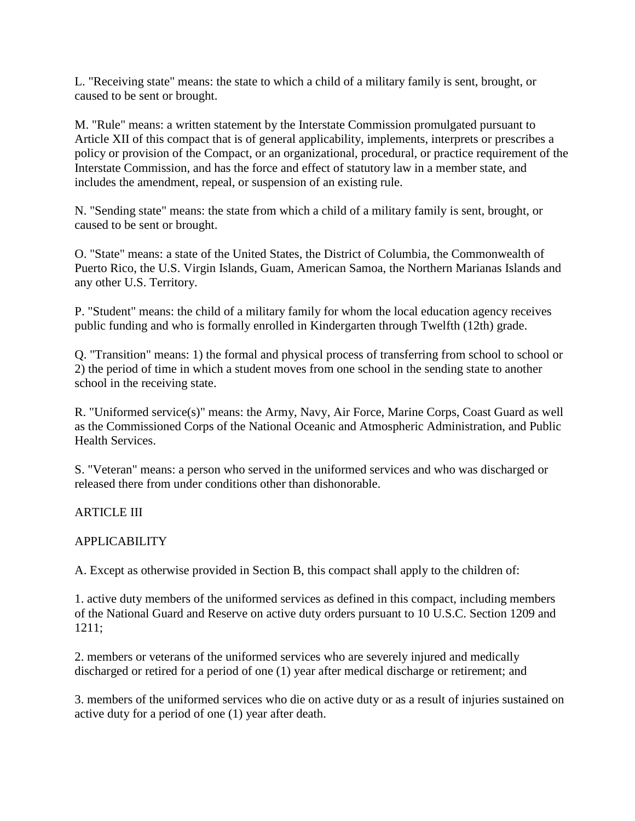L. "Receiving state" means: the state to which a child of a military family is sent, brought, or caused to be sent or brought.

M. "Rule" means: a written statement by the Interstate Commission promulgated pursuant to Article XII of this compact that is of general applicability, implements, interprets or prescribes a policy or provision of the Compact, or an organizational, procedural, or practice requirement of the Interstate Commission, and has the force and effect of statutory law in a member state, and includes the amendment, repeal, or suspension of an existing rule.

N. "Sending state" means: the state from which a child of a military family is sent, brought, or caused to be sent or brought.

O. "State" means: a state of the United States, the District of Columbia, the Commonwealth of Puerto Rico, the U.S. Virgin Islands, Guam, American Samoa, the Northern Marianas Islands and any other U.S. Territory.

P. "Student" means: the child of a military family for whom the local education agency receives public funding and who is formally enrolled in Kindergarten through Twelfth (12th) grade.

Q. "Transition" means: 1) the formal and physical process of transferring from school to school or 2) the period of time in which a student moves from one school in the sending state to another school in the receiving state.

R. "Uniformed service(s)" means: the Army, Navy, Air Force, Marine Corps, Coast Guard as well as the Commissioned Corps of the National Oceanic and Atmospheric Administration, and Public Health Services.

S. "Veteran" means: a person who served in the uniformed services and who was discharged or released there from under conditions other than dishonorable.

ARTICLE III

# APPLICABILITY

A. Except as otherwise provided in Section B, this compact shall apply to the children of:

1. active duty members of the uniformed services as defined in this compact, including members of the National Guard and Reserve on active duty orders pursuant to 10 U.S.C. Section 1209 and 1211;

2. members or veterans of the uniformed services who are severely injured and medically discharged or retired for a period of one (1) year after medical discharge or retirement; and

3. members of the uniformed services who die on active duty or as a result of injuries sustained on active duty for a period of one (1) year after death.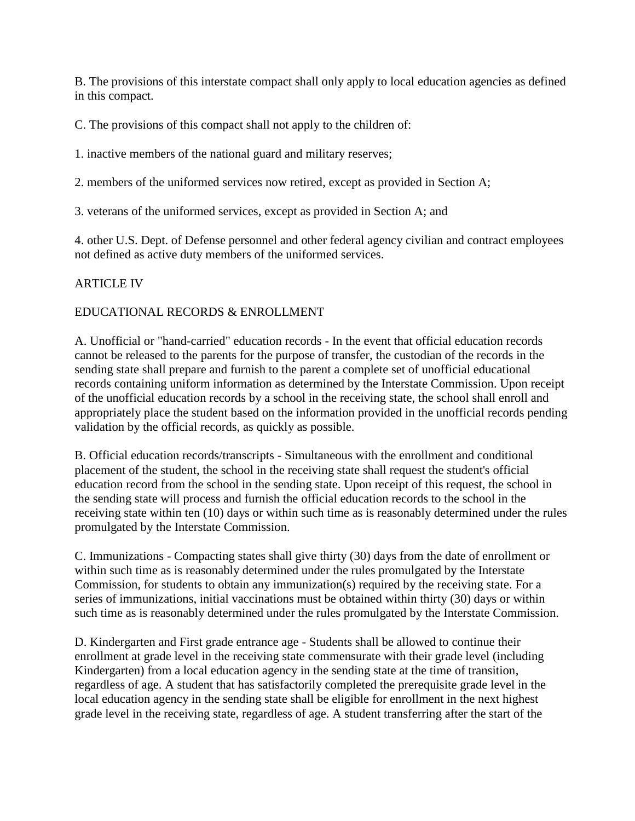B. The provisions of this interstate compact shall only apply to local education agencies as defined in this compact.

C. The provisions of this compact shall not apply to the children of:

1. inactive members of the national guard and military reserves;

2. members of the uniformed services now retired, except as provided in Section A;

3. veterans of the uniformed services, except as provided in Section A; and

4. other U.S. Dept. of Defense personnel and other federal agency civilian and contract employees not defined as active duty members of the uniformed services.

# ARTICLE IV

# EDUCATIONAL RECORDS & ENROLLMENT

A. Unofficial or "hand-carried" education records - In the event that official education records cannot be released to the parents for the purpose of transfer, the custodian of the records in the sending state shall prepare and furnish to the parent a complete set of unofficial educational records containing uniform information as determined by the Interstate Commission. Upon receipt of the unofficial education records by a school in the receiving state, the school shall enroll and appropriately place the student based on the information provided in the unofficial records pending validation by the official records, as quickly as possible.

B. Official education records/transcripts - Simultaneous with the enrollment and conditional placement of the student, the school in the receiving state shall request the student's official education record from the school in the sending state. Upon receipt of this request, the school in the sending state will process and furnish the official education records to the school in the receiving state within ten (10) days or within such time as is reasonably determined under the rules promulgated by the Interstate Commission.

C. Immunizations - Compacting states shall give thirty (30) days from the date of enrollment or within such time as is reasonably determined under the rules promulgated by the Interstate Commission, for students to obtain any immunization(s) required by the receiving state. For a series of immunizations, initial vaccinations must be obtained within thirty (30) days or within such time as is reasonably determined under the rules promulgated by the Interstate Commission.

D. Kindergarten and First grade entrance age - Students shall be allowed to continue their enrollment at grade level in the receiving state commensurate with their grade level (including Kindergarten) from a local education agency in the sending state at the time of transition, regardless of age. A student that has satisfactorily completed the prerequisite grade level in the local education agency in the sending state shall be eligible for enrollment in the next highest grade level in the receiving state, regardless of age. A student transferring after the start of the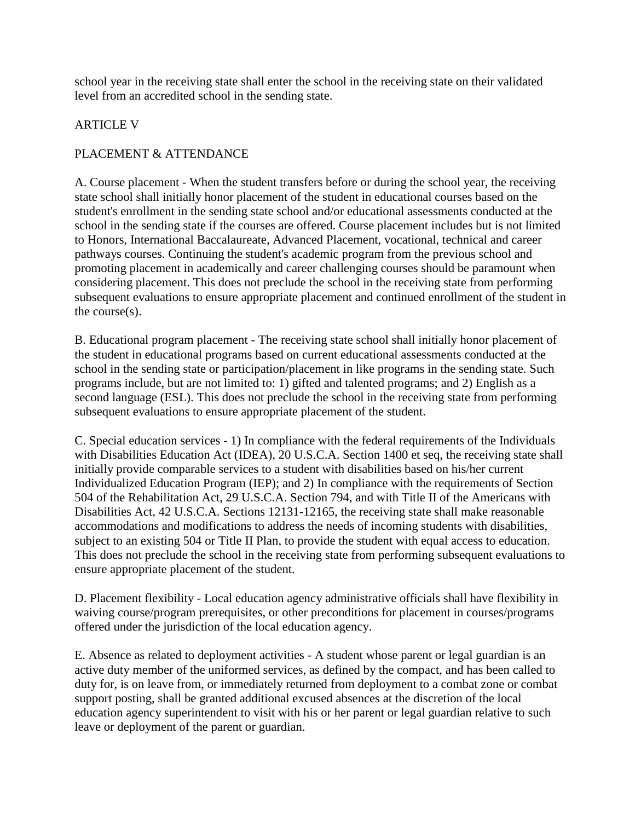school year in the receiving state shall enter the school in the receiving state on their validated level from an accredited school in the sending state.

# ARTICLE V

# PLACEMENT & ATTENDANCE

A. Course placement - When the student transfers before or during the school year, the receiving state school shall initially honor placement of the student in educational courses based on the student's enrollment in the sending state school and/or educational assessments conducted at the school in the sending state if the courses are offered. Course placement includes but is not limited to Honors, International Baccalaureate, Advanced Placement, vocational, technical and career pathways courses. Continuing the student's academic program from the previous school and promoting placement in academically and career challenging courses should be paramount when considering placement. This does not preclude the school in the receiving state from performing subsequent evaluations to ensure appropriate placement and continued enrollment of the student in the course(s).

B. Educational program placement - The receiving state school shall initially honor placement of the student in educational programs based on current educational assessments conducted at the school in the sending state or participation/placement in like programs in the sending state. Such programs include, but are not limited to: 1) gifted and talented programs; and 2) English as a second language (ESL). This does not preclude the school in the receiving state from performing subsequent evaluations to ensure appropriate placement of the student.

C. Special education services - 1) In compliance with the federal requirements of the Individuals with Disabilities Education Act (IDEA), 20 U.S.C.A. Section 1400 et seq, the receiving state shall initially provide comparable services to a student with disabilities based on his/her current Individualized Education Program (IEP); and 2) In compliance with the requirements of Section 504 of the Rehabilitation Act, 29 U.S.C.A. Section 794, and with Title II of the Americans with Disabilities Act, 42 U.S.C.A. Sections 12131-12165, the receiving state shall make reasonable accommodations and modifications to address the needs of incoming students with disabilities, subject to an existing 504 or Title II Plan, to provide the student with equal access to education. This does not preclude the school in the receiving state from performing subsequent evaluations to ensure appropriate placement of the student.

D. Placement flexibility - Local education agency administrative officials shall have flexibility in waiving course/program prerequisites, or other preconditions for placement in courses/programs offered under the jurisdiction of the local education agency.

E. Absence as related to deployment activities - A student whose parent or legal guardian is an active duty member of the uniformed services, as defined by the compact, and has been called to duty for, is on leave from, or immediately returned from deployment to a combat zone or combat support posting, shall be granted additional excused absences at the discretion of the local education agency superintendent to visit with his or her parent or legal guardian relative to such leave or deployment of the parent or guardian.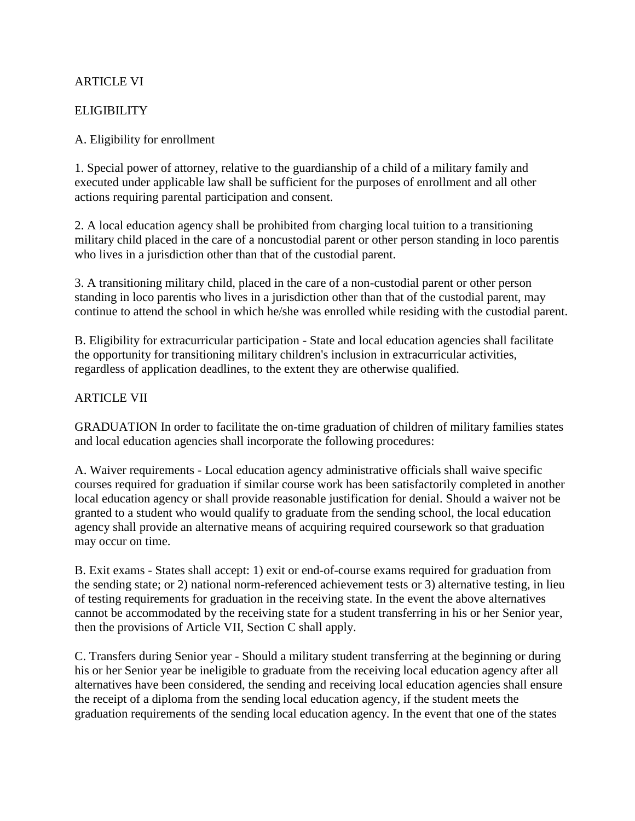# ARTICLE VI

# **ELIGIBILITY**

# A. Eligibility for enrollment

1. Special power of attorney, relative to the guardianship of a child of a military family and executed under applicable law shall be sufficient for the purposes of enrollment and all other actions requiring parental participation and consent.

2. A local education agency shall be prohibited from charging local tuition to a transitioning military child placed in the care of a noncustodial parent or other person standing in loco parentis who lives in a jurisdiction other than that of the custodial parent.

3. A transitioning military child, placed in the care of a non-custodial parent or other person standing in loco parentis who lives in a jurisdiction other than that of the custodial parent, may continue to attend the school in which he/she was enrolled while residing with the custodial parent.

B. Eligibility for extracurricular participation - State and local education agencies shall facilitate the opportunity for transitioning military children's inclusion in extracurricular activities, regardless of application deadlines, to the extent they are otherwise qualified.

#### ARTICLE VII

GRADUATION In order to facilitate the on-time graduation of children of military families states and local education agencies shall incorporate the following procedures:

A. Waiver requirements - Local education agency administrative officials shall waive specific courses required for graduation if similar course work has been satisfactorily completed in another local education agency or shall provide reasonable justification for denial. Should a waiver not be granted to a student who would qualify to graduate from the sending school, the local education agency shall provide an alternative means of acquiring required coursework so that graduation may occur on time.

B. Exit exams - States shall accept: 1) exit or end-of-course exams required for graduation from the sending state; or 2) national norm-referenced achievement tests or 3) alternative testing, in lieu of testing requirements for graduation in the receiving state. In the event the above alternatives cannot be accommodated by the receiving state for a student transferring in his or her Senior year, then the provisions of Article VII, Section C shall apply.

C. Transfers during Senior year - Should a military student transferring at the beginning or during his or her Senior year be ineligible to graduate from the receiving local education agency after all alternatives have been considered, the sending and receiving local education agencies shall ensure the receipt of a diploma from the sending local education agency, if the student meets the graduation requirements of the sending local education agency. In the event that one of the states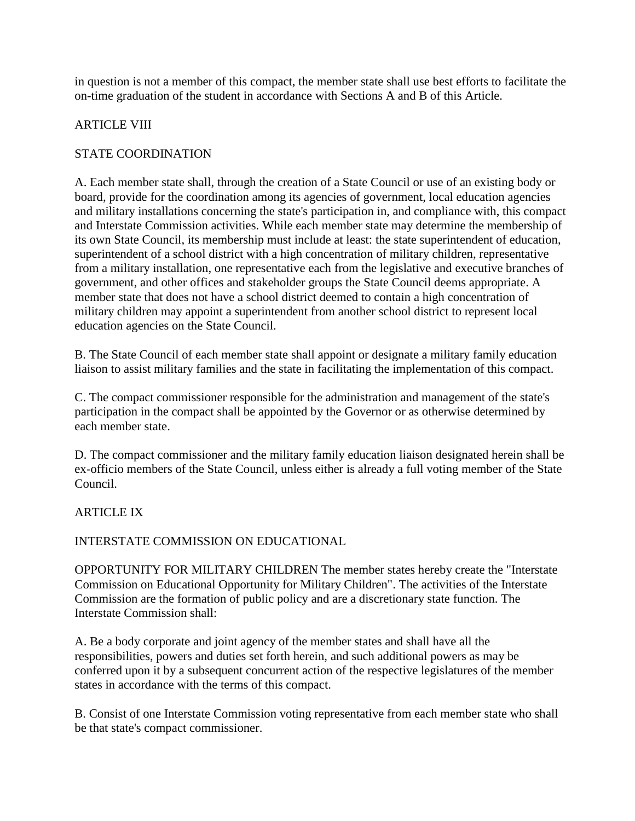in question is not a member of this compact, the member state shall use best efforts to facilitate the on-time graduation of the student in accordance with Sections A and B of this Article.

# ARTICLE VIII

# STATE COORDINATION

A. Each member state shall, through the creation of a State Council or use of an existing body or board, provide for the coordination among its agencies of government, local education agencies and military installations concerning the state's participation in, and compliance with, this compact and Interstate Commission activities. While each member state may determine the membership of its own State Council, its membership must include at least: the state superintendent of education, superintendent of a school district with a high concentration of military children, representative from a military installation, one representative each from the legislative and executive branches of government, and other offices and stakeholder groups the State Council deems appropriate. A member state that does not have a school district deemed to contain a high concentration of military children may appoint a superintendent from another school district to represent local education agencies on the State Council.

B. The State Council of each member state shall appoint or designate a military family education liaison to assist military families and the state in facilitating the implementation of this compact.

C. The compact commissioner responsible for the administration and management of the state's participation in the compact shall be appointed by the Governor or as otherwise determined by each member state.

D. The compact commissioner and the military family education liaison designated herein shall be ex-officio members of the State Council, unless either is already a full voting member of the State Council.

#### **ARTICLE IX**

#### INTERSTATE COMMISSION ON EDUCATIONAL

OPPORTUNITY FOR MILITARY CHILDREN The member states hereby create the "Interstate Commission on Educational Opportunity for Military Children". The activities of the Interstate Commission are the formation of public policy and are a discretionary state function. The Interstate Commission shall:

A. Be a body corporate and joint agency of the member states and shall have all the responsibilities, powers and duties set forth herein, and such additional powers as may be conferred upon it by a subsequent concurrent action of the respective legislatures of the member states in accordance with the terms of this compact.

B. Consist of one Interstate Commission voting representative from each member state who shall be that state's compact commissioner.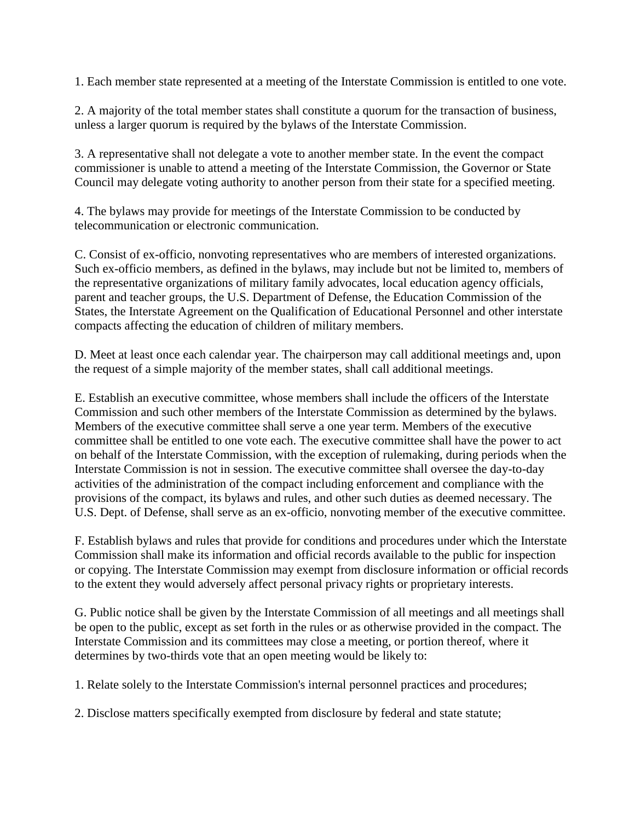1. Each member state represented at a meeting of the Interstate Commission is entitled to one vote.

2. A majority of the total member states shall constitute a quorum for the transaction of business, unless a larger quorum is required by the bylaws of the Interstate Commission.

3. A representative shall not delegate a vote to another member state. In the event the compact commissioner is unable to attend a meeting of the Interstate Commission, the Governor or State Council may delegate voting authority to another person from their state for a specified meeting.

4. The bylaws may provide for meetings of the Interstate Commission to be conducted by telecommunication or electronic communication.

C. Consist of ex-officio, nonvoting representatives who are members of interested organizations. Such ex-officio members, as defined in the bylaws, may include but not be limited to, members of the representative organizations of military family advocates, local education agency officials, parent and teacher groups, the U.S. Department of Defense, the Education Commission of the States, the Interstate Agreement on the Qualification of Educational Personnel and other interstate compacts affecting the education of children of military members.

D. Meet at least once each calendar year. The chairperson may call additional meetings and, upon the request of a simple majority of the member states, shall call additional meetings.

E. Establish an executive committee, whose members shall include the officers of the Interstate Commission and such other members of the Interstate Commission as determined by the bylaws. Members of the executive committee shall serve a one year term. Members of the executive committee shall be entitled to one vote each. The executive committee shall have the power to act on behalf of the Interstate Commission, with the exception of rulemaking, during periods when the Interstate Commission is not in session. The executive committee shall oversee the day-to-day activities of the administration of the compact including enforcement and compliance with the provisions of the compact, its bylaws and rules, and other such duties as deemed necessary. The U.S. Dept. of Defense, shall serve as an ex-officio, nonvoting member of the executive committee.

F. Establish bylaws and rules that provide for conditions and procedures under which the Interstate Commission shall make its information and official records available to the public for inspection or copying. The Interstate Commission may exempt from disclosure information or official records to the extent they would adversely affect personal privacy rights or proprietary interests.

G. Public notice shall be given by the Interstate Commission of all meetings and all meetings shall be open to the public, except as set forth in the rules or as otherwise provided in the compact. The Interstate Commission and its committees may close a meeting, or portion thereof, where it determines by two-thirds vote that an open meeting would be likely to:

1. Relate solely to the Interstate Commission's internal personnel practices and procedures;

2. Disclose matters specifically exempted from disclosure by federal and state statute;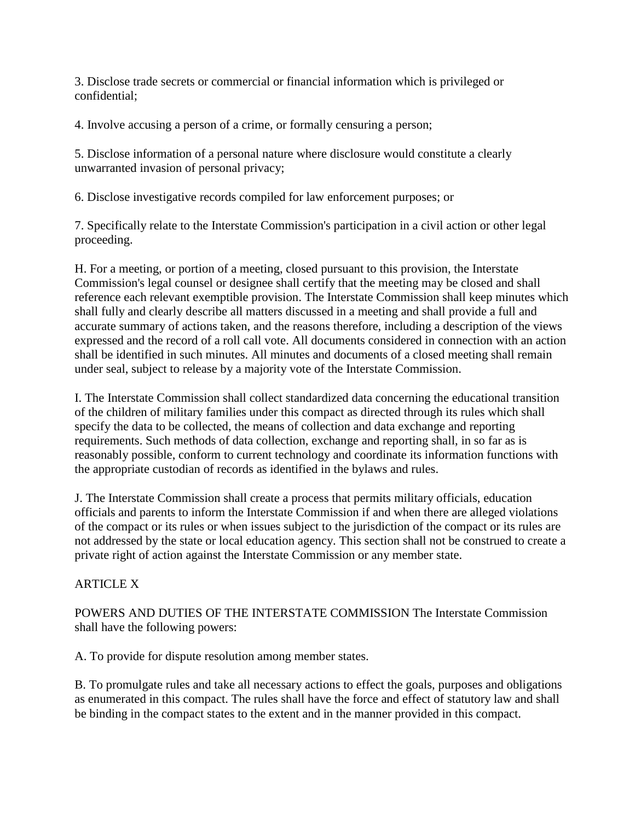3. Disclose trade secrets or commercial or financial information which is privileged or confidential;

4. Involve accusing a person of a crime, or formally censuring a person;

5. Disclose information of a personal nature where disclosure would constitute a clearly unwarranted invasion of personal privacy;

6. Disclose investigative records compiled for law enforcement purposes; or

7. Specifically relate to the Interstate Commission's participation in a civil action or other legal proceeding.

H. For a meeting, or portion of a meeting, closed pursuant to this provision, the Interstate Commission's legal counsel or designee shall certify that the meeting may be closed and shall reference each relevant exemptible provision. The Interstate Commission shall keep minutes which shall fully and clearly describe all matters discussed in a meeting and shall provide a full and accurate summary of actions taken, and the reasons therefore, including a description of the views expressed and the record of a roll call vote. All documents considered in connection with an action shall be identified in such minutes. All minutes and documents of a closed meeting shall remain under seal, subject to release by a majority vote of the Interstate Commission.

I. The Interstate Commission shall collect standardized data concerning the educational transition of the children of military families under this compact as directed through its rules which shall specify the data to be collected, the means of collection and data exchange and reporting requirements. Such methods of data collection, exchange and reporting shall, in so far as is reasonably possible, conform to current technology and coordinate its information functions with the appropriate custodian of records as identified in the bylaws and rules.

J. The Interstate Commission shall create a process that permits military officials, education officials and parents to inform the Interstate Commission if and when there are alleged violations of the compact or its rules or when issues subject to the jurisdiction of the compact or its rules are not addressed by the state or local education agency. This section shall not be construed to create a private right of action against the Interstate Commission or any member state.

# ARTICLE X

POWERS AND DUTIES OF THE INTERSTATE COMMISSION The Interstate Commission shall have the following powers:

A. To provide for dispute resolution among member states.

B. To promulgate rules and take all necessary actions to effect the goals, purposes and obligations as enumerated in this compact. The rules shall have the force and effect of statutory law and shall be binding in the compact states to the extent and in the manner provided in this compact.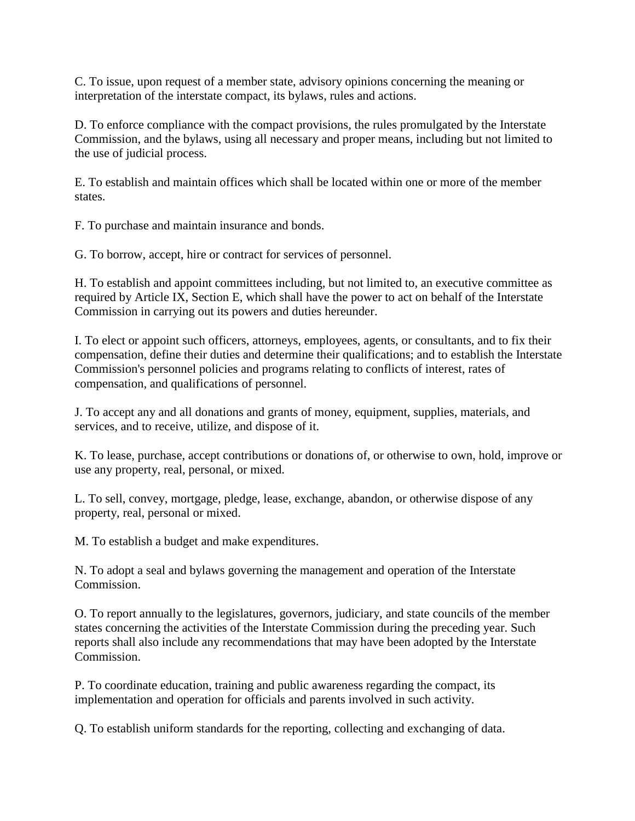C. To issue, upon request of a member state, advisory opinions concerning the meaning or interpretation of the interstate compact, its bylaws, rules and actions.

D. To enforce compliance with the compact provisions, the rules promulgated by the Interstate Commission, and the bylaws, using all necessary and proper means, including but not limited to the use of judicial process.

E. To establish and maintain offices which shall be located within one or more of the member states.

F. To purchase and maintain insurance and bonds.

G. To borrow, accept, hire or contract for services of personnel.

H. To establish and appoint committees including, but not limited to, an executive committee as required by Article IX, Section E, which shall have the power to act on behalf of the Interstate Commission in carrying out its powers and duties hereunder.

I. To elect or appoint such officers, attorneys, employees, agents, or consultants, and to fix their compensation, define their duties and determine their qualifications; and to establish the Interstate Commission's personnel policies and programs relating to conflicts of interest, rates of compensation, and qualifications of personnel.

J. To accept any and all donations and grants of money, equipment, supplies, materials, and services, and to receive, utilize, and dispose of it.

K. To lease, purchase, accept contributions or donations of, or otherwise to own, hold, improve or use any property, real, personal, or mixed.

L. To sell, convey, mortgage, pledge, lease, exchange, abandon, or otherwise dispose of any property, real, personal or mixed.

M. To establish a budget and make expenditures.

N. To adopt a seal and bylaws governing the management and operation of the Interstate Commission.

O. To report annually to the legislatures, governors, judiciary, and state councils of the member states concerning the activities of the Interstate Commission during the preceding year. Such reports shall also include any recommendations that may have been adopted by the Interstate Commission.

P. To coordinate education, training and public awareness regarding the compact, its implementation and operation for officials and parents involved in such activity.

Q. To establish uniform standards for the reporting, collecting and exchanging of data.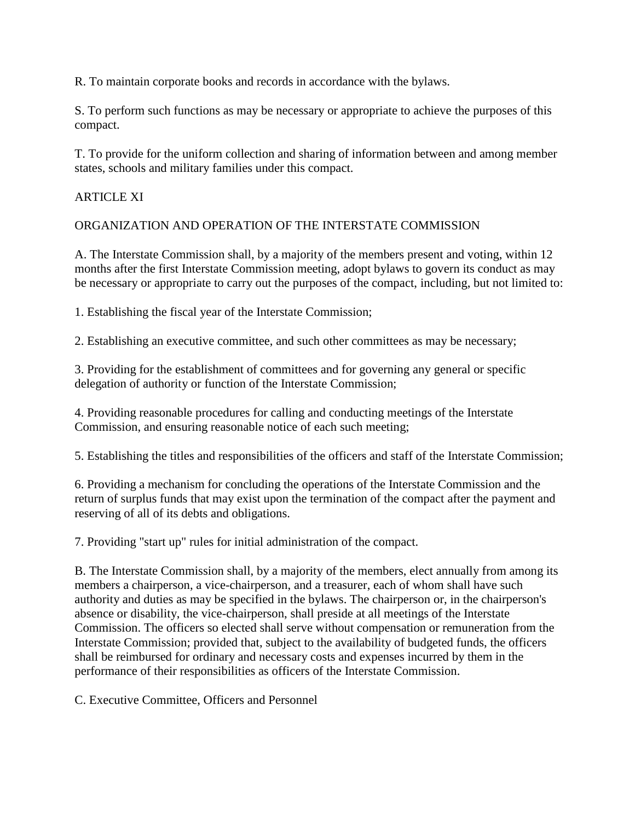R. To maintain corporate books and records in accordance with the bylaws.

S. To perform such functions as may be necessary or appropriate to achieve the purposes of this compact.

T. To provide for the uniform collection and sharing of information between and among member states, schools and military families under this compact.

# **ARTICLE XI**

# ORGANIZATION AND OPERATION OF THE INTERSTATE COMMISSION

A. The Interstate Commission shall, by a majority of the members present and voting, within 12 months after the first Interstate Commission meeting, adopt bylaws to govern its conduct as may be necessary or appropriate to carry out the purposes of the compact, including, but not limited to:

1. Establishing the fiscal year of the Interstate Commission;

2. Establishing an executive committee, and such other committees as may be necessary;

3. Providing for the establishment of committees and for governing any general or specific delegation of authority or function of the Interstate Commission;

4. Providing reasonable procedures for calling and conducting meetings of the Interstate Commission, and ensuring reasonable notice of each such meeting;

5. Establishing the titles and responsibilities of the officers and staff of the Interstate Commission;

6. Providing a mechanism for concluding the operations of the Interstate Commission and the return of surplus funds that may exist upon the termination of the compact after the payment and reserving of all of its debts and obligations.

7. Providing "start up" rules for initial administration of the compact.

B. The Interstate Commission shall, by a majority of the members, elect annually from among its members a chairperson, a vice-chairperson, and a treasurer, each of whom shall have such authority and duties as may be specified in the bylaws. The chairperson or, in the chairperson's absence or disability, the vice-chairperson, shall preside at all meetings of the Interstate Commission. The officers so elected shall serve without compensation or remuneration from the Interstate Commission; provided that, subject to the availability of budgeted funds, the officers shall be reimbursed for ordinary and necessary costs and expenses incurred by them in the performance of their responsibilities as officers of the Interstate Commission.

C. Executive Committee, Officers and Personnel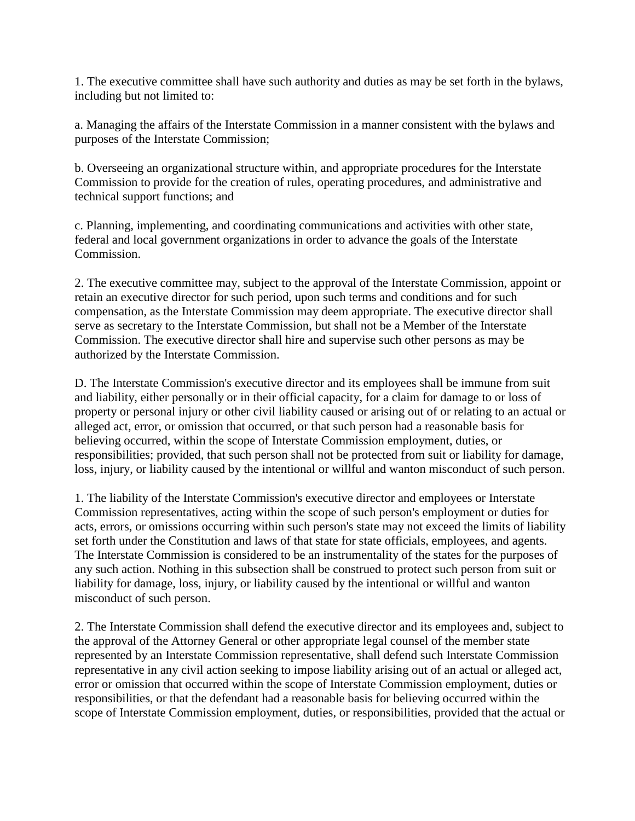1. The executive committee shall have such authority and duties as may be set forth in the bylaws, including but not limited to:

a. Managing the affairs of the Interstate Commission in a manner consistent with the bylaws and purposes of the Interstate Commission;

b. Overseeing an organizational structure within, and appropriate procedures for the Interstate Commission to provide for the creation of rules, operating procedures, and administrative and technical support functions; and

c. Planning, implementing, and coordinating communications and activities with other state, federal and local government organizations in order to advance the goals of the Interstate Commission.

2. The executive committee may, subject to the approval of the Interstate Commission, appoint or retain an executive director for such period, upon such terms and conditions and for such compensation, as the Interstate Commission may deem appropriate. The executive director shall serve as secretary to the Interstate Commission, but shall not be a Member of the Interstate Commission. The executive director shall hire and supervise such other persons as may be authorized by the Interstate Commission.

D. The Interstate Commission's executive director and its employees shall be immune from suit and liability, either personally or in their official capacity, for a claim for damage to or loss of property or personal injury or other civil liability caused or arising out of or relating to an actual or alleged act, error, or omission that occurred, or that such person had a reasonable basis for believing occurred, within the scope of Interstate Commission employment, duties, or responsibilities; provided, that such person shall not be protected from suit or liability for damage, loss, injury, or liability caused by the intentional or willful and wanton misconduct of such person.

1. The liability of the Interstate Commission's executive director and employees or Interstate Commission representatives, acting within the scope of such person's employment or duties for acts, errors, or omissions occurring within such person's state may not exceed the limits of liability set forth under the Constitution and laws of that state for state officials, employees, and agents. The Interstate Commission is considered to be an instrumentality of the states for the purposes of any such action. Nothing in this subsection shall be construed to protect such person from suit or liability for damage, loss, injury, or liability caused by the intentional or willful and wanton misconduct of such person.

2. The Interstate Commission shall defend the executive director and its employees and, subject to the approval of the Attorney General or other appropriate legal counsel of the member state represented by an Interstate Commission representative, shall defend such Interstate Commission representative in any civil action seeking to impose liability arising out of an actual or alleged act, error or omission that occurred within the scope of Interstate Commission employment, duties or responsibilities, or that the defendant had a reasonable basis for believing occurred within the scope of Interstate Commission employment, duties, or responsibilities, provided that the actual or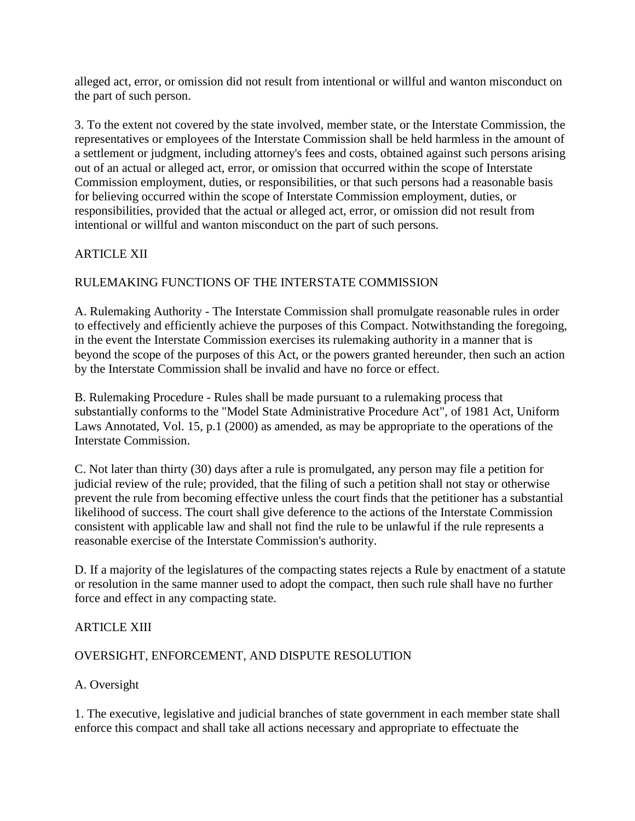alleged act, error, or omission did not result from intentional or willful and wanton misconduct on the part of such person.

3. To the extent not covered by the state involved, member state, or the Interstate Commission, the representatives or employees of the Interstate Commission shall be held harmless in the amount of a settlement or judgment, including attorney's fees and costs, obtained against such persons arising out of an actual or alleged act, error, or omission that occurred within the scope of Interstate Commission employment, duties, or responsibilities, or that such persons had a reasonable basis for believing occurred within the scope of Interstate Commission employment, duties, or responsibilities, provided that the actual or alleged act, error, or omission did not result from intentional or willful and wanton misconduct on the part of such persons.

# ARTICLE XII

# RULEMAKING FUNCTIONS OF THE INTERSTATE COMMISSION

A. Rulemaking Authority - The Interstate Commission shall promulgate reasonable rules in order to effectively and efficiently achieve the purposes of this Compact. Notwithstanding the foregoing, in the event the Interstate Commission exercises its rulemaking authority in a manner that is beyond the scope of the purposes of this Act, or the powers granted hereunder, then such an action by the Interstate Commission shall be invalid and have no force or effect.

B. Rulemaking Procedure - Rules shall be made pursuant to a rulemaking process that substantially conforms to the "Model State Administrative Procedure Act", of 1981 Act, Uniform Laws Annotated, Vol. 15, p.1 (2000) as amended, as may be appropriate to the operations of the Interstate Commission.

C. Not later than thirty (30) days after a rule is promulgated, any person may file a petition for judicial review of the rule; provided, that the filing of such a petition shall not stay or otherwise prevent the rule from becoming effective unless the court finds that the petitioner has a substantial likelihood of success. The court shall give deference to the actions of the Interstate Commission consistent with applicable law and shall not find the rule to be unlawful if the rule represents a reasonable exercise of the Interstate Commission's authority.

D. If a majority of the legislatures of the compacting states rejects a Rule by enactment of a statute or resolution in the same manner used to adopt the compact, then such rule shall have no further force and effect in any compacting state.

# ARTICLE XIII

# OVERSIGHT, ENFORCEMENT, AND DISPUTE RESOLUTION

# A. Oversight

1. The executive, legislative and judicial branches of state government in each member state shall enforce this compact and shall take all actions necessary and appropriate to effectuate the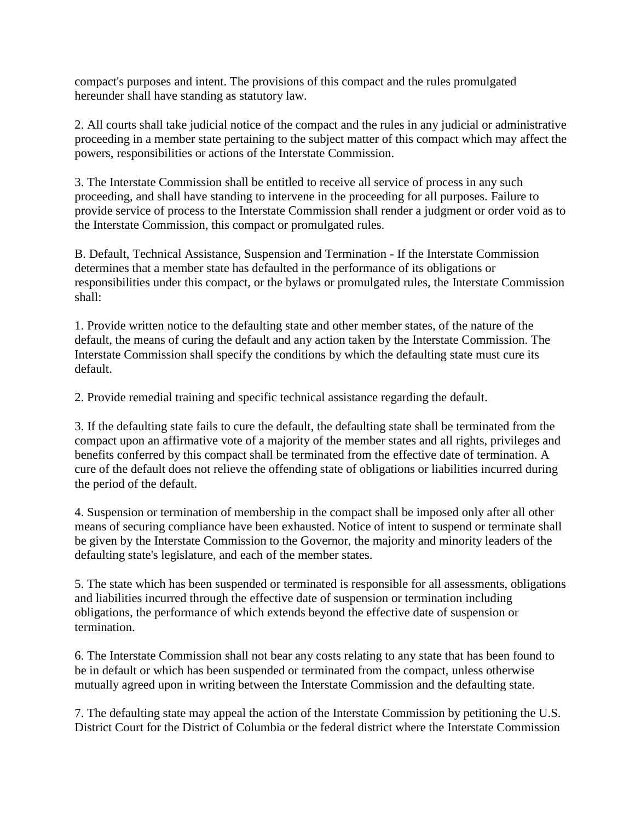compact's purposes and intent. The provisions of this compact and the rules promulgated hereunder shall have standing as statutory law.

2. All courts shall take judicial notice of the compact and the rules in any judicial or administrative proceeding in a member state pertaining to the subject matter of this compact which may affect the powers, responsibilities or actions of the Interstate Commission.

3. The Interstate Commission shall be entitled to receive all service of process in any such proceeding, and shall have standing to intervene in the proceeding for all purposes. Failure to provide service of process to the Interstate Commission shall render a judgment or order void as to the Interstate Commission, this compact or promulgated rules.

B. Default, Technical Assistance, Suspension and Termination - If the Interstate Commission determines that a member state has defaulted in the performance of its obligations or responsibilities under this compact, or the bylaws or promulgated rules, the Interstate Commission shall:

1. Provide written notice to the defaulting state and other member states, of the nature of the default, the means of curing the default and any action taken by the Interstate Commission. The Interstate Commission shall specify the conditions by which the defaulting state must cure its default.

2. Provide remedial training and specific technical assistance regarding the default.

3. If the defaulting state fails to cure the default, the defaulting state shall be terminated from the compact upon an affirmative vote of a majority of the member states and all rights, privileges and benefits conferred by this compact shall be terminated from the effective date of termination. A cure of the default does not relieve the offending state of obligations or liabilities incurred during the period of the default.

4. Suspension or termination of membership in the compact shall be imposed only after all other means of securing compliance have been exhausted. Notice of intent to suspend or terminate shall be given by the Interstate Commission to the Governor, the majority and minority leaders of the defaulting state's legislature, and each of the member states.

5. The state which has been suspended or terminated is responsible for all assessments, obligations and liabilities incurred through the effective date of suspension or termination including obligations, the performance of which extends beyond the effective date of suspension or termination.

6. The Interstate Commission shall not bear any costs relating to any state that has been found to be in default or which has been suspended or terminated from the compact, unless otherwise mutually agreed upon in writing between the Interstate Commission and the defaulting state.

7. The defaulting state may appeal the action of the Interstate Commission by petitioning the U.S. District Court for the District of Columbia or the federal district where the Interstate Commission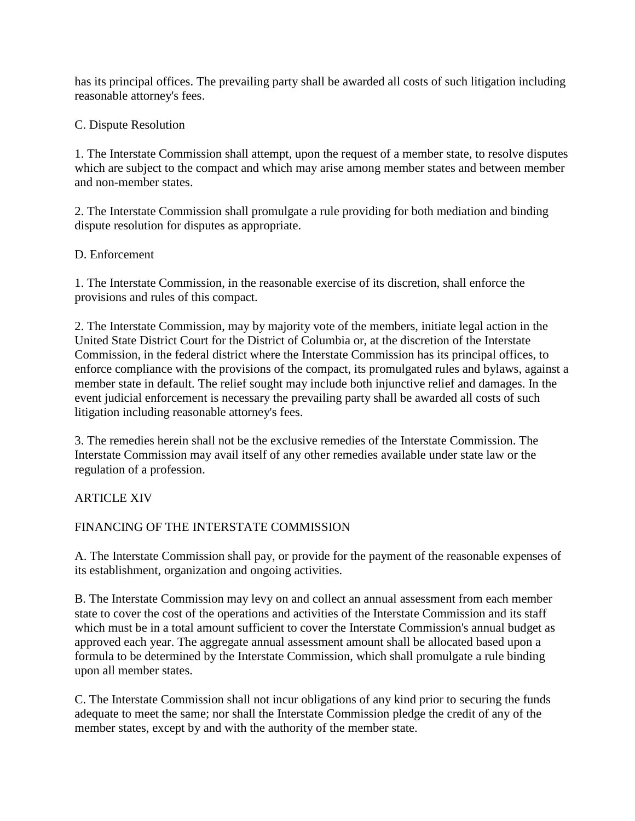has its principal offices. The prevailing party shall be awarded all costs of such litigation including reasonable attorney's fees.

# C. Dispute Resolution

1. The Interstate Commission shall attempt, upon the request of a member state, to resolve disputes which are subject to the compact and which may arise among member states and between member and non-member states.

2. The Interstate Commission shall promulgate a rule providing for both mediation and binding dispute resolution for disputes as appropriate.

#### D. Enforcement

1. The Interstate Commission, in the reasonable exercise of its discretion, shall enforce the provisions and rules of this compact.

2. The Interstate Commission, may by majority vote of the members, initiate legal action in the United State District Court for the District of Columbia or, at the discretion of the Interstate Commission, in the federal district where the Interstate Commission has its principal offices, to enforce compliance with the provisions of the compact, its promulgated rules and bylaws, against a member state in default. The relief sought may include both injunctive relief and damages. In the event judicial enforcement is necessary the prevailing party shall be awarded all costs of such litigation including reasonable attorney's fees.

3. The remedies herein shall not be the exclusive remedies of the Interstate Commission. The Interstate Commission may avail itself of any other remedies available under state law or the regulation of a profession.

# ARTICLE XIV

# FINANCING OF THE INTERSTATE COMMISSION

A. The Interstate Commission shall pay, or provide for the payment of the reasonable expenses of its establishment, organization and ongoing activities.

B. The Interstate Commission may levy on and collect an annual assessment from each member state to cover the cost of the operations and activities of the Interstate Commission and its staff which must be in a total amount sufficient to cover the Interstate Commission's annual budget as approved each year. The aggregate annual assessment amount shall be allocated based upon a formula to be determined by the Interstate Commission, which shall promulgate a rule binding upon all member states.

C. The Interstate Commission shall not incur obligations of any kind prior to securing the funds adequate to meet the same; nor shall the Interstate Commission pledge the credit of any of the member states, except by and with the authority of the member state.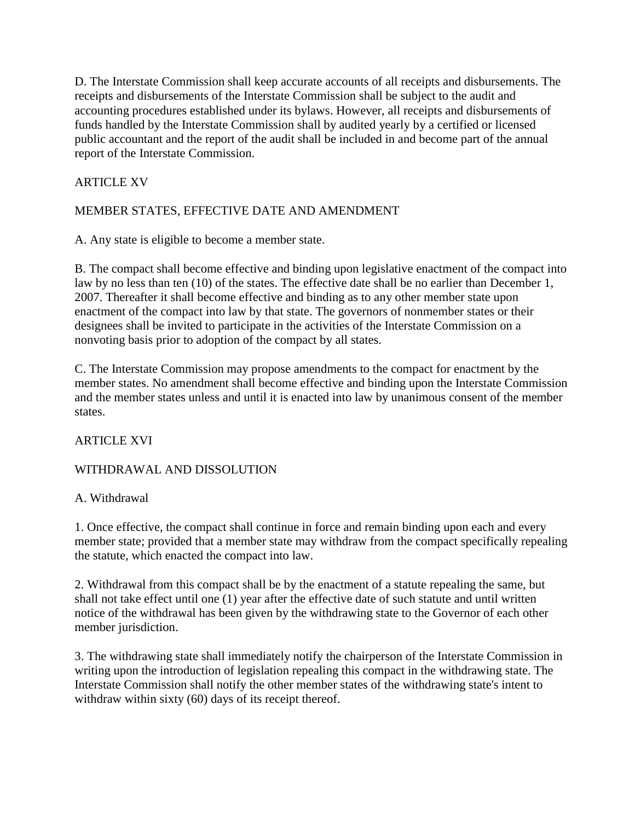D. The Interstate Commission shall keep accurate accounts of all receipts and disbursements. The receipts and disbursements of the Interstate Commission shall be subject to the audit and accounting procedures established under its bylaws. However, all receipts and disbursements of funds handled by the Interstate Commission shall by audited yearly by a certified or licensed public accountant and the report of the audit shall be included in and become part of the annual report of the Interstate Commission.

# ARTICLE XV

# MEMBER STATES, EFFECTIVE DATE AND AMENDMENT

A. Any state is eligible to become a member state.

B. The compact shall become effective and binding upon legislative enactment of the compact into law by no less than ten (10) of the states. The effective date shall be no earlier than December 1, 2007. Thereafter it shall become effective and binding as to any other member state upon enactment of the compact into law by that state. The governors of nonmember states or their designees shall be invited to participate in the activities of the Interstate Commission on a nonvoting basis prior to adoption of the compact by all states.

C. The Interstate Commission may propose amendments to the compact for enactment by the member states. No amendment shall become effective and binding upon the Interstate Commission and the member states unless and until it is enacted into law by unanimous consent of the member states.

# ARTICLE XVI

# WITHDRAWAL AND DISSOLUTION

# A. Withdrawal

1. Once effective, the compact shall continue in force and remain binding upon each and every member state; provided that a member state may withdraw from the compact specifically repealing the statute, which enacted the compact into law.

2. Withdrawal from this compact shall be by the enactment of a statute repealing the same, but shall not take effect until one (1) year after the effective date of such statute and until written notice of the withdrawal has been given by the withdrawing state to the Governor of each other member jurisdiction.

3. The withdrawing state shall immediately notify the chairperson of the Interstate Commission in writing upon the introduction of legislation repealing this compact in the withdrawing state. The Interstate Commission shall notify the other member states of the withdrawing state's intent to withdraw within sixty (60) days of its receipt thereof.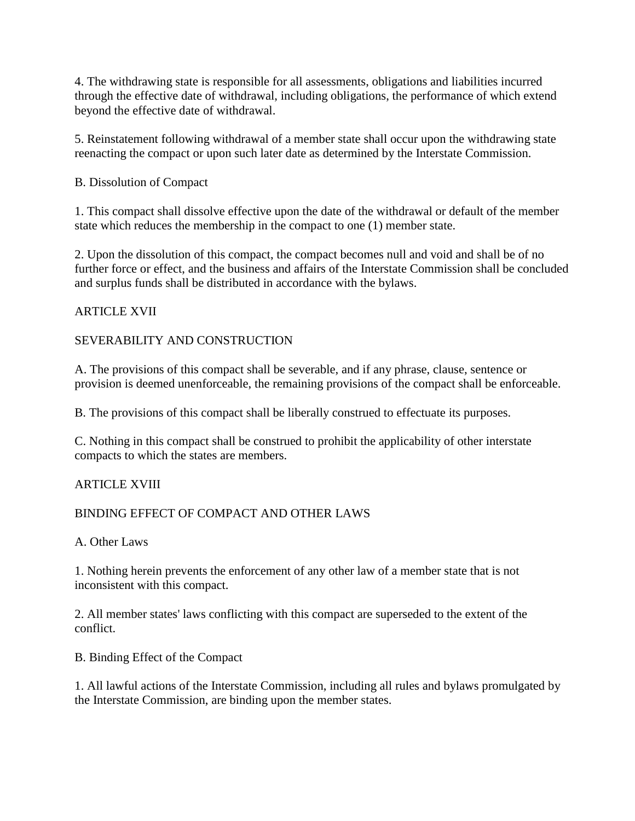4. The withdrawing state is responsible for all assessments, obligations and liabilities incurred through the effective date of withdrawal, including obligations, the performance of which extend beyond the effective date of withdrawal.

5. Reinstatement following withdrawal of a member state shall occur upon the withdrawing state reenacting the compact or upon such later date as determined by the Interstate Commission.

B. Dissolution of Compact

1. This compact shall dissolve effective upon the date of the withdrawal or default of the member state which reduces the membership in the compact to one (1) member state.

2. Upon the dissolution of this compact, the compact becomes null and void and shall be of no further force or effect, and the business and affairs of the Interstate Commission shall be concluded and surplus funds shall be distributed in accordance with the bylaws.

# ARTICLE XVII

# SEVERABILITY AND CONSTRUCTION

A. The provisions of this compact shall be severable, and if any phrase, clause, sentence or provision is deemed unenforceable, the remaining provisions of the compact shall be enforceable.

B. The provisions of this compact shall be liberally construed to effectuate its purposes.

C. Nothing in this compact shall be construed to prohibit the applicability of other interstate compacts to which the states are members.

# ARTICLE XVIII

# BINDING EFFECT OF COMPACT AND OTHER LAWS

A. Other Laws

1. Nothing herein prevents the enforcement of any other law of a member state that is not inconsistent with this compact.

2. All member states' laws conflicting with this compact are superseded to the extent of the conflict.

B. Binding Effect of the Compact

1. All lawful actions of the Interstate Commission, including all rules and bylaws promulgated by the Interstate Commission, are binding upon the member states.